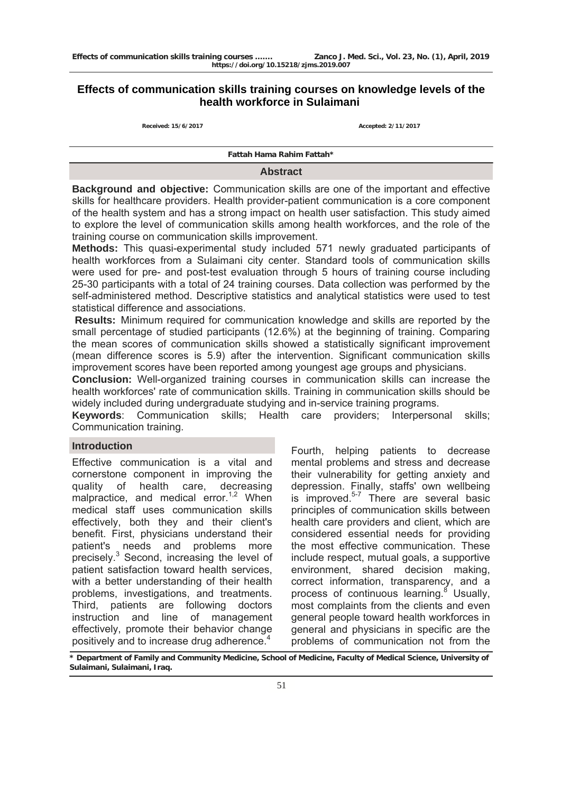# **Effects of communication skills training courses on knowledge levels of the health workforce in Sulaimani**

**Received: 15/6/2017 Accepted: 2/11/2017**

**Fattah Hama Rahim Fattah\***

#### **Abstract**

**Background and objective:** Communication skills are one of the important and effective skills for healthcare providers. Health provider-patient communication is a core component of the health system and has a strong impact on health user satisfaction. This study aimed to explore the level of communication skills among health workforces, and the role of the training course on communication skills improvement.

**Methods:** This quasi-experimental study included 571 newly graduated participants of health workforces from a Sulaimani city center. Standard tools of communication skills were used for pre- and post-test evaluation through 5 hours of training course including 25-30 participants with a total of 24 training courses. Data collection was performed by the self-administered method. Descriptive statistics and analytical statistics were used to test statistical difference and associations.

 **Results:** Minimum required for communication knowledge and skills are reported by the small percentage of studied participants (12.6%) at the beginning of training. Comparing the mean scores of communication skills showed a statistically significant improvement (mean difference scores is 5.9) after the intervention. Significant communication skills improvement scores have been reported among youngest age groups and physicians.

**Conclusion:** Well-organized training courses in communication skills can increase the health workforces' rate of communication skills. Training in communication skills should be widely included during undergraduate studying and in-service training programs.

**Keywords**: Communication skills; Health care providers; Interpersonal skills; Communication training.

### **Introduction**

Effective communication is a vital and cornerstone component in improving the quality of health care, decreasing malpractice, and medical error.<sup>1,2</sup> When medical staff uses communication skills effectively, both they and their client's benefit. First, physicians understand their patient's needs and problems more precisely.<sup>3</sup> Second, increasing the level of patient satisfaction toward health services, with a better understanding of their health problems, investigations, and treatments. Third, patients are following doctors instruction and line of management effectively, promote their behavior change positively and to increase drug adherence.<sup>4</sup>

Fourth, helping patients to decrease mental problems and stress and decrease their vulnerability for getting anxiety and depression. Finally, staffs' own wellbeing is improved. $5-7$  There are several basic principles of communication skills between health care providers and client, which are considered essential needs for providing the most effective communication. These include respect, mutual goals, a supportive environment, shared decision making, correct information, transparency, and a process of continuous learning.<sup>8</sup> Usually, most complaints from the clients and even general people toward health workforces in general and physicians in specific are the problems of communication not from the

**\* Department of Family and Community Medicine, School of Medicine, Faculty of Medical Science, University of Sulaimani, Sulaimani, Iraq.**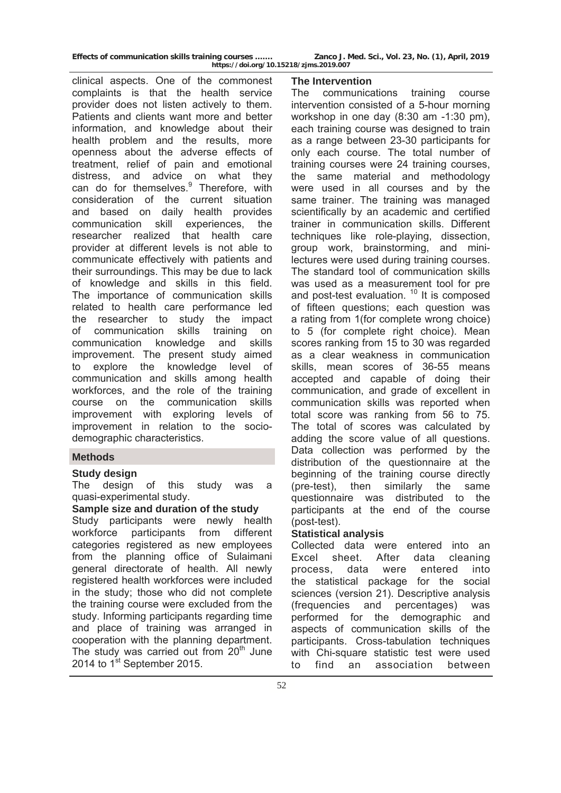**Effects of communication skills training courses ……. Zanco J. Med. Sci., Vol. 23, No. (1), April, 2019** 

**https://doi.org/10.15218/zjms.2019.007**

clinical aspects. One of the commonest complaints is that the health service provider does not listen actively to them. Patients and clients want more and better information, and knowledge about their health problem and the results, more openness about the adverse effects of treatment, relief of pain and emotional distress, and advice on what they can do for themselves.<sup>9</sup> Therefore, with consideration of the current situation and based on daily health provides communication skill experiences, the researcher realized that health care provider at different levels is not able to communicate effectively with patients and their surroundings. This may be due to lack of knowledge and skills in this field. The importance of communication skills related to health care performance led the researcher to study the impact of communication skills training on communication knowledge and skills improvement. The present study aimed to explore the knowledge level of communication and skills among health workforces, and the role of the training course on the communication skills improvement with exploring levels of improvement in relation to the sociodemographic characteristics.

# **Methods**

# **Study design**

The design of this study was a quasi-experimental study.

### **Sample size and duration of the study**

Study participants were newly health workforce participants from different categories registered as new employees from the planning office of Sulaimani general directorate of health. All newly registered health workforces were included in the study; those who did not complete the training course were excluded from the study. Informing participants regarding time and place of training was arranged in cooperation with the planning department. The study was carried out from  $20<sup>th</sup>$  June 2014 to 1<sup>st</sup> September 2015.

### **The Intervention**

The communications training course intervention consisted of a 5-hour morning workshop in one day (8:30 am -1:30 pm), each training course was designed to train as a range between 23-30 participants for only each course. The total number of training courses were 24 training courses, the same material and methodology were used in all courses and by the same trainer. The training was managed scientifically by an academic and certified trainer in communication skills. Different techniques like role-playing, dissection, group work, brainstorming, and minilectures were used during training courses. The standard tool of communication skills was used as a measurement tool for pre and post-test evaluation.  $10$  It is composed of fifteen questions; each question was a rating from 1(for complete wrong choice) to 5 (for complete right choice). Mean scores ranking from 15 to 30 was regarded as a clear weakness in communication skills, mean scores of 36-55 means accepted and capable of doing their communication, and grade of excellent in communication skills was reported when total score was ranking from 56 to 75. The total of scores was calculated by adding the score value of all questions. Data collection was performed by the distribution of the questionnaire at the beginning of the training course directly (pre-test), then similarly the same questionnaire was distributed to the participants at the end of the course (post-test).

# **Statistical analysis**

Collected data were entered into an Excel sheet. After data cleaning process, data were entered into the statistical package for the social sciences (version 21). Descriptive analysis (frequencies and percentages) was performed for the demographic and aspects of communication skills of the participants. Cross-tabulation techniques with Chi-square statistic test were used to find an association between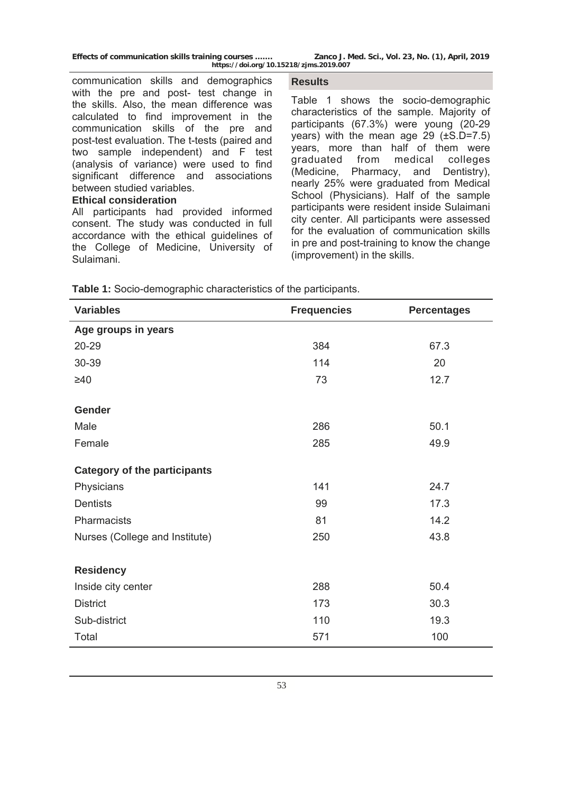communication skills and demographics with the pre and post- test change in the skills. Also, the mean difference was calculated to find improvement in the communication skills of the pre and post-test evaluation. The t-tests (paired and two sample independent) and F test (analysis of variance) were used to find significant difference and associations between studied variables.

### **Ethical consideration**

All participants had provided informed consent. The study was conducted in full accordance with the ethical guidelines of the College of Medicine, University of Sulaimani.

#### **Results**

Table 1 shows the socio-demographic characteristics of the sample. Majority of participants (67.3%) were young (20-29 years) with the mean age 29 (±S.D=7.5) years, more than half of them were graduated from medical colleges (Medicine, Pharmacy, and Dentistry), nearly 25% were graduated from Medical School (Physicians). Half of the sample participants were resident inside Sulaimani city center. All participants were assessed for the evaluation of communication skills in pre and post-training to know the change (improvement) in the skills.

| <b>Variables</b>                    | <b>Frequencies</b> | <b>Percentages</b> |
|-------------------------------------|--------------------|--------------------|
| Age groups in years                 |                    |                    |
| 20-29                               | 384                | 67.3               |
| 30-39                               | 114                | 20                 |
| $\geq 40$                           | 73                 | 12.7               |
| <b>Gender</b>                       |                    |                    |
| Male                                | 286                | 50.1               |
| Female                              | 285                | 49.9               |
| <b>Category of the participants</b> |                    |                    |
| Physicians                          | 141                | 24.7               |
| <b>Dentists</b>                     | 99                 | 17.3               |
| Pharmacists                         | 81                 | 14.2               |
| Nurses (College and Institute)      | 250                | 43.8               |
| <b>Residency</b>                    |                    |                    |
| Inside city center                  | 288                | 50.4               |
| <b>District</b>                     | 173                | 30.3               |
| Sub-district                        | 110                | 19.3               |
| Total                               | 571                | 100                |

**Table 1:** Socio-demographic characteristics of the participants.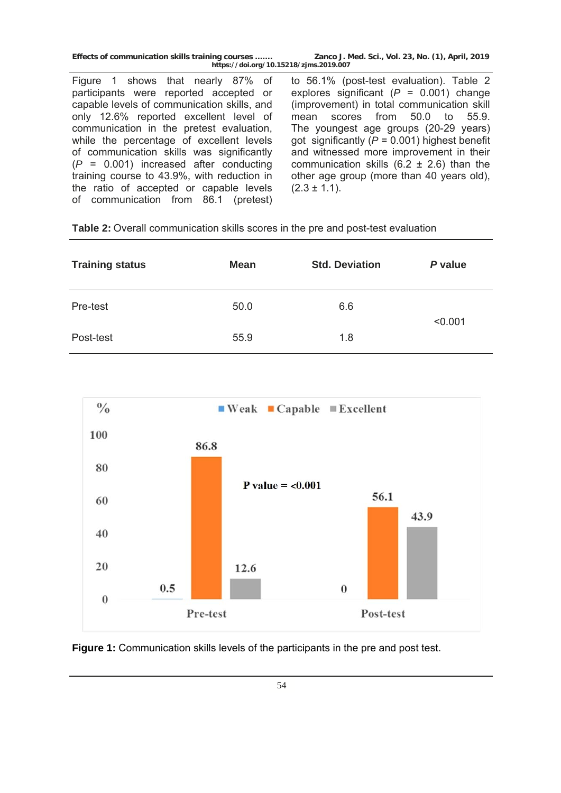Figure 1 shows that nearly 87% of participants were reported accepted or capable levels of communication skills, and only 12.6% reported excellent level of communication in the pretest evaluation, while the percentage of excellent levels of communication skills was significantly (*P* = 0.001) increased after conducting training course to 43.9%, with reduction in the ratio of accepted or capable levels of communication from 86.1 (pretest)

to 56.1% (post-test evaluation). Table 2 explores significant (*P* = 0.001) change (improvement) in total communication skill mean scores from 50.0 to 55.9. The youngest age groups (20-29 years) got significantly (*P* = 0.001) highest benefit and witnessed more improvement in their communication skills  $(6.2 \pm 2.6)$  than the other age group (more than 40 years old),  $(2.3 \pm 1.1)$ .

**Table 2:** Overall communication skills scores in the pre and post-test evaluation

| <b>Training status</b> | <b>Mean</b> | <b>Std. Deviation</b> | P value |  |
|------------------------|-------------|-----------------------|---------|--|
| Pre-test               | 50.0        | 6.6                   | < 0.001 |  |
| Post-test              | 55.9        | 1.8                   |         |  |



**Figure 1:** Communication skills levels of the participants in the pre and post test.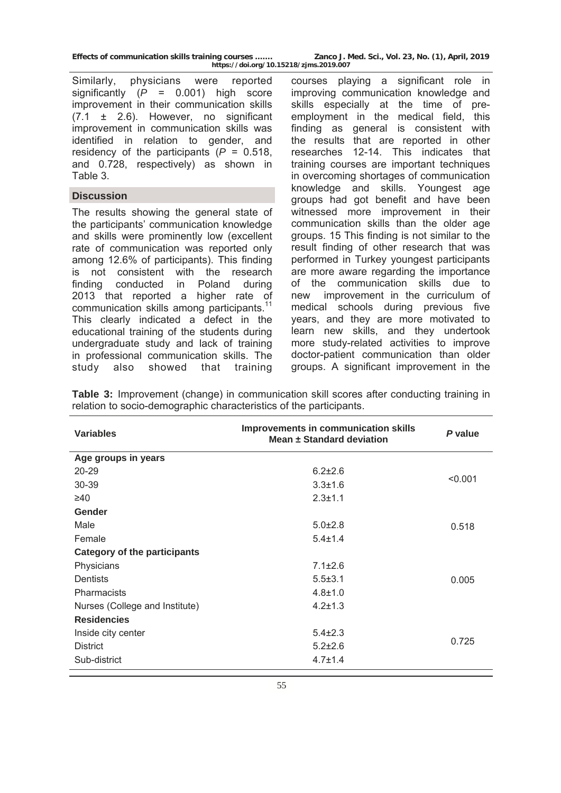| Effects of communication skills training courses |  |                      |
|--------------------------------------------------|--|----------------------|
|                                                  |  | https://doi.org/10.1 |

Similarly, physicians were reported significantly (*P* = 0.001) high score improvement in their communication skills (7.1 ± 2.6). However, no significant improvement in communication skills was identified in relation to gender, and residency of the participants (*P* = 0.518, and 0.728, respectively) as shown in Table 3.

# **Discussion**

The results showing the general state of the participants' communication knowledge and skills were prominently low (excellent rate of communication was reported only among 12.6% of participants). This finding is not consistent with the research finding conducted in Poland during 2013 that reported a higher rate of communication skills among participants.<sup>11</sup> This clearly indicated a defect in the educational training of the students during undergraduate study and lack of training in professional communication skills. The study also showed that training courses playing a significant role in improving communication knowledge and skills especially at the time of preemployment in the medical field, this finding as general is consistent with the results that are reported in other researches 12-14. This indicates that training courses are important techniques in overcoming shortages of communication knowledge and skills. Youngest age groups had got benefit and have been witnessed more improvement in their communication skills than the older age groups. 15 This finding is not similar to the result finding of other research that was performed in Turkey youngest participants are more aware regarding the importance of the communication skills due to new improvement in the curriculum of medical schools during previous five years, and they are more motivated to learn new skills, and they undertook more study-related activities to improve doctor-patient communication than older groups. A significant improvement in the

**Table 3:** Improvement (change) in communication skill scores after conducting training in relation to socio-demographic characteristics of the participants.

| <b>Variables</b>                    | Improvements in communication skills<br>Mean ± Standard deviation | P value |  |
|-------------------------------------|-------------------------------------------------------------------|---------|--|
| Age groups in years                 |                                                                   |         |  |
| $20 - 29$                           | $6.2 \pm 2.6$                                                     |         |  |
| 30-39                               | $3.3 \pm 1.6$                                                     | < 0.001 |  |
| $\geq 40$                           | $2.3 \pm 1.1$                                                     |         |  |
| Gender                              |                                                                   |         |  |
| Male                                | $5.0 \pm 2.8$                                                     | 0.518   |  |
| Female                              | $5.4 \pm 1.4$                                                     |         |  |
| <b>Category of the participants</b> |                                                                   |         |  |
| Physicians                          | $7.1 \pm 2.6$                                                     |         |  |
| Dentists                            | $5.5 \pm 3.1$                                                     | 0.005   |  |
| Pharmacists                         | $4.8 + 1.0$                                                       |         |  |
| Nurses (College and Institute)      | $4.2 \pm 1.3$                                                     |         |  |
| <b>Residencies</b>                  |                                                                   |         |  |
| Inside city center                  | $5.4\pm2.3$                                                       |         |  |
| <b>District</b>                     | $5.2 \pm 2.6$                                                     | 0.725   |  |
| Sub-district                        | $4.7 \pm 1.4$                                                     |         |  |